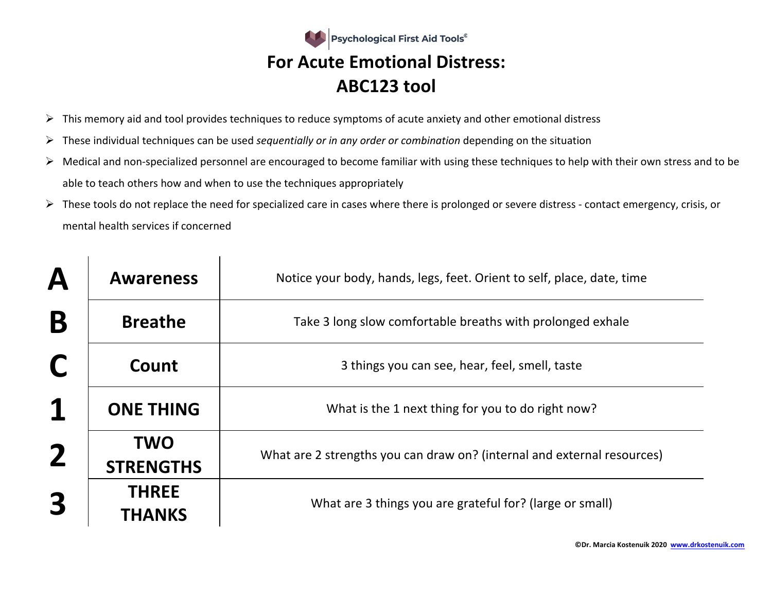

- $\triangleright$  This memory aid and tool provides techniques to reduce symptoms of acute anxiety and other emotional distress
- Ø These individual techniques can be used *sequentially or in any order or combination* depending on the situation
- $\triangleright$  Medical and non-specialized personnel are encouraged to become familiar with using these techniques to help with their own stress and to be able to teach others how and when to use the techniques appropriately
- $\triangleright$  These tools do not replace the need for specialized care in cases where there is prolonged or severe distress contact emergency, crisis, or mental health services if concerned

| $\boldsymbol{\mathsf{A}}$ | <b>Awareness</b>               | Notice your body, hands, legs, feet. Orient to self, place, date, time  |
|---------------------------|--------------------------------|-------------------------------------------------------------------------|
| B                         | <b>Breathe</b>                 | Take 3 long slow comfortable breaths with prolonged exhale              |
| C                         | Count                          | 3 things you can see, hear, feel, smell, taste                          |
| 1                         | <b>ONE THING</b>               | What is the 1 next thing for you to do right now?                       |
| $\overline{\mathbf{2}}$   | <b>TWO</b><br><b>STRENGTHS</b> | What are 2 strengths you can draw on? (internal and external resources) |
| 3                         | <b>THREE</b><br><b>THANKS</b>  | What are 3 things you are grateful for? (large or small)                |